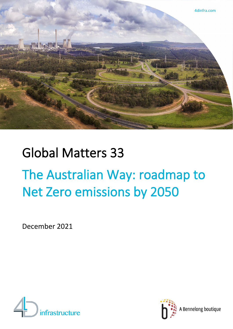

# Global Matters 33 The Australian Way: roadmap to Net Zero emissions by 2050

December 2021





A Bennelong boutique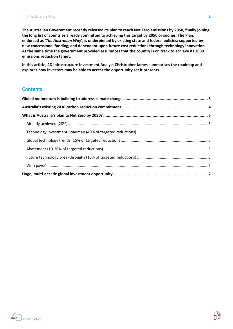**The Australian Government recently released its plan to reach Net Zero emissions by 2050, finally joining the long list of countries already committed to achieving this target by 2050 or sooner. The Plan, endorsed as '***The Australian Way***', is underpinned by existing state and federal policies; supported by new concessional funding; and dependent upon future cost reductions through technology innovation. At the same time the government provided assurances that the country is on track to achieve its 2030 emissions reduction target.**

**In this article, 4D Infrastructure Investment Analyst Christopher James summarises the roadmap and explores how investors may be able to access the opportunity set it presents.**

#### **Contents**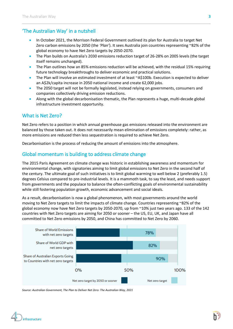# 'The Australian Way' in a nutshell

- In October 2021, the Morrison Federal Government outlined its plan for Australia to target Net Zero carbon emissions by 2050 (the *'Plan'*). It sees Australia join countries representing ~82% of the global economy to have Net Zero targets by 2050-2070.
- The Plan builds on Australia's 2030 emissions reduction target of 26-28% on 2005 levels (the target itself remains unchanged).
- The Plan outlines how an 85% emissions reduction will be achieved, with the residual 15% requiring future technology breakthroughs to deliver economic and practical solutions.
- The Plan will involve an estimated investment of at least ~A\$100b. Execution is expected to deliver an A\$2k/capita increase in 2050 national income and create 62,000 jobs.
- The 2050 target will not be formally legislated, instead relying on governments, consumers and companies collectively driving emission reductions.
- Along with the global decarbonisation thematic, the Plan represents a huge, multi-decade global infrastructure investment opportunity.

# What is Net Zero?

Net Zero refers to a position in which annual greenhouse gas emissions released into the environment are balanced by those taken out. It does not necessarily mean elimination of emissions completely: rather, as more emissions are reduced then less sequestration is required to achieve Net Zero.

Decarbonisation is the process of reducing the amount of emissions into the atmosphere.

# <span id="page-2-0"></span>Global momentum is building to address climate change

The 2015 Paris Agreement on climate change was historic in establishing awareness and momentum for environmental change, with signatories aiming to limit global emissions to Net Zero in the second half of the century. The ultimate goal of such initiatives is to limit global warming to well below 2 (preferably 1.5) degrees Celsius compared to pre-industrial levels. It is a mammoth task, to say the least, and needs support from governments and the populace to balance the often-conflicting goals of environmental sustainability while still fostering population growth, economic advancement and social ideals.

As a result, decarbonisation is now a global phenomenon, with most governments around the world moving to Net Zero targets to limit the impacts of climate change. Countries representing ~82% of the global economy now have Net Zero targets by 2050-2070, up from ~10% just two years ago. 133 of the 142 countries with Net Zero targets are aiming for 2050 or sooner – the US, EU, UK, and Japan have all committed to Net Zero emissions by 2050, and China has committed to Net Zero by 2060.



*Source: Australian Government, The Plan to Deliver Net Zero: The Australian Way, 2021*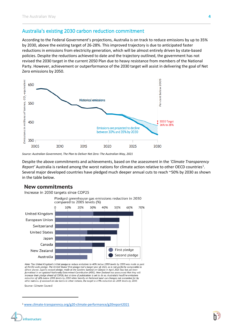## <span id="page-3-0"></span>Australia's existing 2030 carbon reduction commitment

According to the Federal Government's projections, Australia is on track to reduce emissions by up to 35% by 2030, above the existing target of 26-28%. This improved trajectory is due to anticipated faster reductions in emissions from electricity generation, which will be almost entirely driven by state-based policies. Despite the reductions achieved to date and the trajectory outlined, the government has not revised the 2030 target in the current 2050 Plan due to heavy resistance from members of the National Party. However, achievement or outperformance of the 2030 target will assist in delivering the goal of Net Zero emissions by 2050.



*Source: Australian Government, The Plan to Deliver Net Zero: The Australian Way, 2021*

Despite the above commitments and achievements, based on the assessment in the *'Climate Transparency* Report' Australia is ranked among the worst nations for climate action relative to other OECD countries<sup>[1](#page-3-1)</sup>. Several major developed countries have pledged much deeper annual cuts to reach ~50% by 2030 as shown in the table below.

#### **New commitments**





Note: The United Kingdom's initial pledge to reduce emissions to 40% below 1990 levels by 2030 was made as part of the EU-wide pledge. The United States' first pledge had a target year of 2025, so is not perfectly comparable to others shown. Japan's revised pledge, made at the Leaders Summit on Climate in April 2021 has not yet been formalised in an updated Nationally Determined Contribution (NDC). New Zealand has announced that they will increase their pledge ahead of COP26, but at time of publication is yet to do so. Australia's headline emissions reduction of 26% below 2005 levels by 2030 relies heavily on historical land use changes not accounted for by other nations. If assessed on like terms to other nations, the target is a 9% reduction on 2005 levels by 2030.

Source: Climate Council



<span id="page-3-1"></span><sup>1</sup> [www.climate-transparency.org/g20-climate-performance/g20report2021](http://www.climate-transparency.org/g20-climate-performance/g20report2021)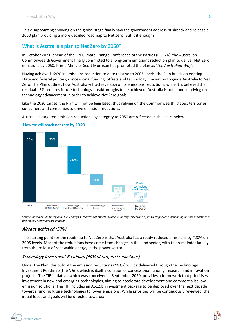This disappointing showing on the global stage finally saw the government address pushback and release a 2050 plan providing a more detailed roadmap to Net Zero. But is it enough?

# <span id="page-4-0"></span>What is Australia's plan to Net Zero by 2050?

In October 2021, ahead of the UN Climate Change Conference of the Parties (COP26), the Australian Commonwealth Government finally committed to a long-term emissions reduction plan to deliver Net Zero emissions by 2050. Prime Minister Scott Morrison has promoted the plan as *'The Australian Way'*.

Having achieved ~20% in emissions reduction to date relative to 2005 levels, the Plan builds on existing state and federal policies, concessional funding, offsets and technology innovation to guide Australia to Net Zero. The Plan outlines how Australia will achieve 85% of its emissions reductions, while it is believed the residual 15% requires future technology breakthroughs to be achieved. Australia is not alone in relying on technology advancement in order to achieve Net Zero goals.

Like the 2030 target, the Plan will not be legislated, thus relying on the Commonwealth, states, territories, consumers and companies to drive emission reductions.

Australia's targeted emission reductions by category to 2050 are reflected in the chart below.



#### How we will reach net zero by 2050

*Source: Based on McKinsey and DISER analysis. \*Sources of offsets include voluntary soil carbon of up to 20 per cent, depending on cost reductions in technology and voluntary demand*

#### <span id="page-4-1"></span>Already achieved (20%)

The starting point for the roadmap to Net Zero is that Australia has already reduced emissions by ~20% on 2005 levels. Most of the reductions have come from changes in the land sector, with the remainder largely from the rollout of renewable energy in the power sector.

#### <span id="page-4-2"></span>Technology Investment Roadmap (40% of targeted reductions)

Under the Plan, the bulk of the emission reductions (~40%) will be delivered through the Technology Investment Roadmap (the *'TIR'*), which is itself a collation of concessional funding, research and innovation projects. The TIR initiative, which was conceived in September 2020, provides a framework that prioritises investment in new and emerging technologies, aiming to accelerate development and commercialise low emission solutions. The TIR includes an A\$1.9bn investment package to be deployed over the next decade towards funding future technologies to lower emissions. While priorities will be continuously reviewed, the initial focus and goals will be directed towards:

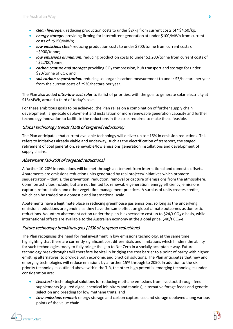- *clean hydrogen:* reducing production costs to under \$2/kg from current costs of ~\$4.60/kg;
- *energy storage:* providing firming for intermittent generation at under \$100/MWh from current costs of ~\$150/MWh;
- *low emissions steel:* reducing production costs to under \$700/tonne from current costs of ~\$900/tonne;
- *low emissions aluminium:* reducing production costs to under \$2,200/tonne from current costs of ~\$2,700/tonne;
- *carbon capture and storage:* providing CO<sub>2</sub> compression, hub transport and storage for under \$20/tonne of CO<sub>2</sub>; and
- *soil carbon sequestration:* reducing soil organic carbon measurement to under \$3/hectare per year from the current costs of ~\$30/hectare per year.

The Plan also added *ultra-low cost solar* to its list of priorities, with the goal to generate solar electricity at \$15/MWh, around a third of today's cost.

For these ambitious goals to be achieved, the Plan relies on a combination of further supply chain development, large-scale deployment and installation of more renewable generation capacity and further technology innovation to facilitate the reductions in the costs required to make these feasible.

#### <span id="page-5-0"></span>Global technology trends (15% of targeted reductions)

The Plan anticipates that current available technology will deliver up to  $\sim$ 15% in emission reductions. This refers to initiatives already viable and underway, such as the electrification of transport, the staged retirement of coal generation, renewable/low emissions generation installations and development of supply chains.

#### <span id="page-5-1"></span>Abatement (10-20% of targeted reductions)

A further 10-20% in reductions will be met through abatement from international and domestic offsets. Abatements are emissions reduction units generated by real projects/initiatives which promote sequestration – that is, the prevention, reduction, removal or capture of emissions from the atmosphere. Common activities include, but are not limited to, renewable generation, energy efficiency, emissions capture, reforestation and other vegetation management practices. A surplus of units creates credits, which can be traded on a domestic and international scale.

Abatements have a legitimate place in reducing greenhouse gas emissions, so long as the underlying emissions reductions are genuine as they have the same effect on global climate outcomes as domestic reductions. Voluntary abatement action under the plan is expected to cost up to \$24/t CO<sub>2</sub>-e basis, while international offsets are available to the Australian economy at the global price,  $$40/t$  CO<sub>2</sub>-e.

#### <span id="page-5-2"></span>Future technology breakthroughs (15% of targeted reductions)

The Plan recognises the need for real investment in low emissions technology, at the same time highlighting that there are currently significant cost differentials and limitations which hinders the ability for such technologies today to fully bridge the gap to Net Zero in a socially acceptable way. Future technology breakthroughs will therefore be vital in bridging the cost barrier to a point of parity with higher emitting alternatives, to provide both economic and practical solutions. The Plan anticipates that new and emerging technologies will reduce emissions by a further 15% through to 2050. In addition to the six priority technologies outlined above within the TIR, the other high potential emerging technologies under consideration are:

- *Livestock:* technological solutions for reducing methane emissions from livestock through feed supplements (e.g. red algae, chemical inhibitors and tannins), alternative forage feeds and genetic selection and breeding for low methane traits; and
- *Low emissions cement:* energy storage and carbon capture use and storage deployed along various points of the value chain.